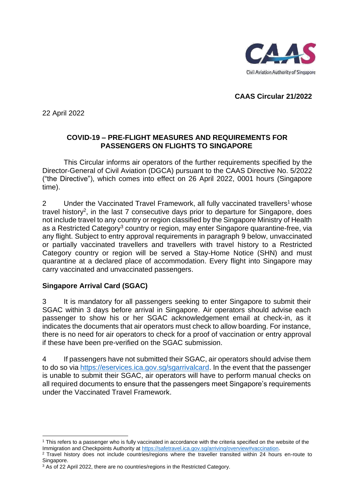

**CAAS Circular 21/2022**

22 April 2022

# **COVID-19 – PRE-FLIGHT MEASURES AND REQUIREMENTS FOR PASSENGERS ON FLIGHTS TO SINGAPORE**

This Circular informs air operators of the further requirements specified by the Director-General of Civil Aviation (DGCA) pursuant to the CAAS Directive No. 5/2022 ("the Directive"), which comes into effect on 26 April 2022, 0001 hours (Singapore time).

2 Under the Vaccinated Travel Framework, all fully vaccinated travellers<sup>1</sup> whose travel history<sup>2</sup>, in the last 7 consecutive days prior to departure for Singapore, does not include travel to any country or region classified by the Singapore Ministry of Health as a Restricted Category<sup>3</sup> country or region, may enter Singapore quarantine-free, via any flight. Subject to entry approval requirements in paragraph 9 below, unvaccinated or partially vaccinated travellers and travellers with travel history to a Restricted Category country or region will be served a Stay-Home Notice (SHN) and must quarantine at a declared place of accommodation. Every flight into Singapore may carry vaccinated and unvaccinated passengers.

# **Singapore Arrival Card (SGAC)**

3 It is mandatory for all passengers seeking to enter Singapore to submit their SGAC within 3 days before arrival in Singapore. Air operators should advise each passenger to show his or her SGAC acknowledgement email at check-in, as it indicates the documents that air operators must check to allow boarding. For instance, there is no need for air operators to check for a proof of vaccination or entry approval if these have been pre-verified on the SGAC submission.

4 If passengers have not submitted their SGAC, air operators should advise them to do so via [https://eservices.ica.gov.sg/sgarrivalcard.](https://eservices.ica.gov.sg/sgarrivalcard) In the event that the passenger is unable to submit their SGAC, air operators will have to perform manual checks on all required documents to ensure that the passengers meet Singapore's requirements under the Vaccinated Travel Framework.

 $1$  This refers to a passenger who is fully vaccinated in accordance with the criteria specified on the website of the Immigration and Checkpoints Authority at [https://safetravel.ica.gov.sg/arriving/overview#vaccination.](https://safetravel.ica.gov.sg/arriving/overview#vaccination)

<sup>&</sup>lt;sup>2</sup> Travel history does not include countries/regions where the traveller transited within 24 hours en-route to Singapore.

<sup>&</sup>lt;sup>3</sup> As of 22 April 2022, there are no countries/regions in the Restricted Category.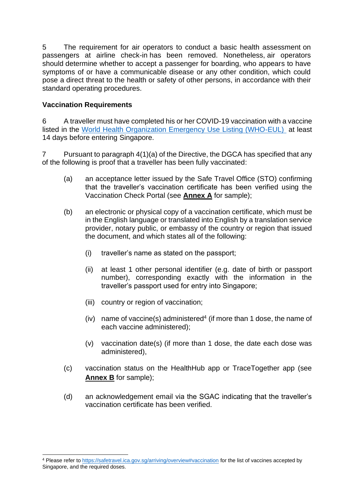5 The requirement for air operators to conduct a basic health assessment on passengers at airline check-in has been removed. Nonetheless, air operators should determine whether to accept a passenger for boarding, who appears to have symptoms of or have a communicable disease or any other condition, which could pose a direct threat to the health or safety of other persons, in accordance with their standard operating procedures.

# **Vaccination Requirements**

6 A traveller must have completed his or her COVID-19 vaccination with a vaccine listed in the [World Health Organization Emergency Use Listing \(WHO-EUL\)](https://safetravel.ica.gov.sg/arriving/overview#vaccination) at least 14 days before entering Singapore.

7 Pursuant to paragraph 4(1)(a) of the Directive, the DGCA has specified that any of the following is proof that a traveller has been fully vaccinated:

- (a) an acceptance letter issued by the Safe Travel Office (STO) confirming that the traveller's vaccination certificate has been verified using the Vaccination Check Portal (see **Annex A** for sample);
- (b) an electronic or physical copy of a vaccination certificate, which must be in the English language or translated into English by a translation service provider, notary public, or embassy of the country or region that issued the document, and which states all of the following:
	- (i) traveller's name as stated on the passport;
	- (ii) at least 1 other personal identifier (e.g. date of birth or passport number), corresponding exactly with the information in the traveller's passport used for entry into Singapore;
	- (iii) country or region of vaccination;
	- $(iv)$  name of vaccine(s) administered<sup>4</sup> (if more than 1 dose, the name of each vaccine administered);
	- (v) vaccination date(s) (if more than 1 dose, the date each dose was administered),
- (c) vaccination status on the HealthHub app or TraceTogether app (see **Annex B** for sample);
- (d) an acknowledgement email via the SGAC indicating that the traveller's vaccination certificate has been verified.

<sup>4</sup> Please refer to<https://safetravel.ica.gov.sg/arriving/overview#vaccination> for the list of vaccines accepted by Singapore, and the required doses.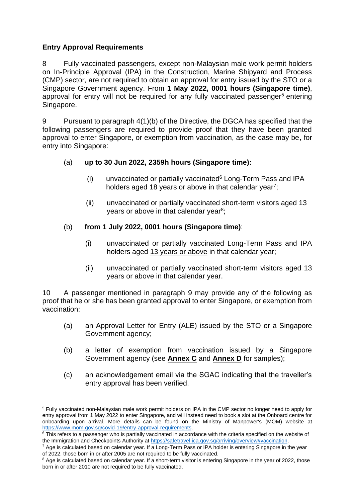# **Entry Approval Requirements**

8 Fully vaccinated passengers, except non-Malaysian male work permit holders on In-Principle Approval (IPA) in the Construction, Marine Shipyard and Process (CMP) sector, are not required to obtain an approval for entry issued by the STO or a Singapore Government agency. From **1 May 2022, 0001 hours (Singapore time)**, approval for entry will not be required for any fully vaccinated passenger<sup>5</sup> entering Singapore.

9 Pursuant to paragraph 4(1)(b) of the Directive, the DGCA has specified that the following passengers are required to provide proof that they have been granted approval to enter Singapore, or exemption from vaccination, as the case may be, for entry into Singapore:

# (a) **up to 30 Jun 2022, 2359h hours (Singapore time):**

- (i) unvaccinated or partially vaccinated<sup>6</sup> Long-Term Pass and IPA holders aged 18 years or above in that calendar year<sup>7</sup>;
- (ii) unvaccinated or partially vaccinated short-term visitors aged 13 years or above in that calendar year<sup>8</sup>;

# (b) **from 1 July 2022, 0001 hours (Singapore time)**:

- (i) unvaccinated or partially vaccinated Long-Term Pass and IPA holders aged 13 years or above in that calendar year;
- (ii) unvaccinated or partially vaccinated short-term visitors aged 13 years or above in that calendar year.

10 A passenger mentioned in paragraph 9 may provide any of the following as proof that he or she has been granted approval to enter Singapore, or exemption from vaccination:

- (a) an Approval Letter for Entry (ALE) issued by the STO or a Singapore Government agency;
- (b) a letter of exemption from vaccination issued by a Singapore Government agency (see **Annex C** and **Annex D** for samples);
- (c) an acknowledgement email via the SGAC indicating that the traveller's entry approval has been verified.

<sup>5</sup> Fully vaccinated non-Malaysian male work permit holders on IPA in the CMP sector no longer need to apply for entry approval from 1 May 2022 to enter Singapore, and will instead need to book a slot at the Onboard centre for onboarding upon arrival. More details can be found on the Ministry of Manpower's (MOM) website at [https://www.mom.gov.sg/covid-19/entry-approval-requirements.](https://www.mom.gov.sg/covid-19/entry-approval-requirements)

 $6$  This refers to a passenger who is partially vaccinated in accordance with the criteria specified on the website of the Immigration and Checkpoints Authority at [https://safetravel.ica.gov.sg/arriving/overview#vaccination.](https://safetravel.ica.gov.sg/arriving/overview#vaccination)

 $7$  Age is calculated based on calendar year. If a Long-Term Pass or IPA holder is entering Singapore in the year of 2022, those born in or after 2005 are not required to be fully vaccinated.

 $8$  Age is calculated based on calendar year. If a short-term visitor is entering Singapore in the year of 2022, those born in or after 2010 are not required to be fully vaccinated.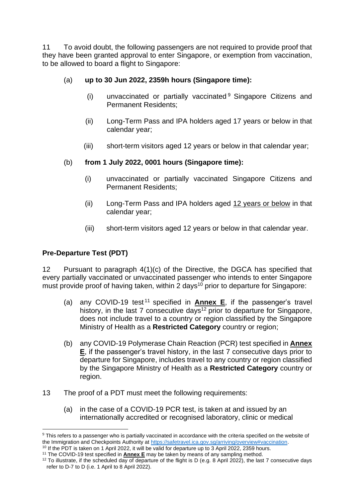11 To avoid doubt, the following passengers are not required to provide proof that they have been granted approval to enter Singapore, or exemption from vaccination, to be allowed to board a flight to Singapore:

# (a) **up to 30 Jun 2022, 2359h hours (Singapore time):**

- (i) unvaccinated or partially vaccinated <sup>9</sup> Singapore Citizens and Permanent Residents;
- (ii) Long-Term Pass and IPA holders aged 17 years or below in that calendar year;
- (iii) short-term visitors aged 12 years or below in that calendar year;

# (b) **from 1 July 2022, 0001 hours (Singapore time):**

- (i) unvaccinated or partially vaccinated Singapore Citizens and Permanent Residents;
- (ii) Long-Term Pass and IPA holders aged 12 years or below in that calendar year;
- (iii) short-term visitors aged 12 years or below in that calendar year.

# **Pre-Departure Test (PDT)**

12 Pursuant to paragraph 4(1)(c) of the Directive, the DGCA has specified that every partially vaccinated or unvaccinated passenger who intends to enter Singapore must provide proof of having taken, within 2 days<sup>10</sup> prior to departure for Singapore:

- (a) any COVID-19 test <sup>11</sup> specified in **Annex E**, if the passenger's travel history, in the last 7 consecutive days<sup>12</sup> prior to departure for Singapore, does not include travel to a country or region classified by the Singapore Ministry of Health as a **Restricted Category** country or region;
- (b) any COVID-19 Polymerase Chain Reaction (PCR) test specified in **Annex E**, if the passenger's travel history, in the last 7 consecutive days prior to departure for Singapore, includes travel to any country or region classified by the Singapore Ministry of Health as a **Restricted Category** country or region.
- 13 The proof of a PDT must meet the following requirements:
	- (a) in the case of a COVID-19 PCR test, is taken at and issued by an internationally accredited or recognised laboratory, clinic or medical

<sup>&</sup>lt;sup>9</sup> This refers to a passenger who is partially vaccinated in accordance with the criteria specified on the website of the Immigration and Checkpoints Authority at [https://safetravel.ica.gov.sg/arriving/overview#vaccination.](https://safetravel.ica.gov.sg/arriving/overview#vaccination)

<sup>10</sup> If the PDT is taken on 1 April 2022, it will be valid for departure up to 3 April 2022, 2359 hours.

<sup>&</sup>lt;sup>11</sup> The COVID-19 test specified in **Annex E** may be taken by means of any sampling method.

<sup>&</sup>lt;sup>12</sup> To illustrate, if the scheduled day of departure of the flight is D (e.g. 8 April 2022), the last 7 consecutive days refer to D-7 to D (i.e. 1 April to 8 April 2022).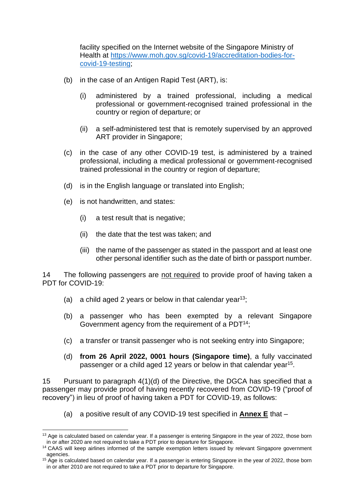facility specified on the Internet website of the Singapore Ministry of Health at [https://www.moh.gov.sg/covid-19/accreditation-bodies-for](https://www.moh.gov.sg/covid-19/accreditation-bodies-for-covid-19-testing)[covid-19-testing;](https://www.moh.gov.sg/covid-19/accreditation-bodies-for-covid-19-testing)

- (b) in the case of an Antigen Rapid Test (ART), is:
	- (i) administered by a trained professional, including a medical professional or government-recognised trained professional in the country or region of departure; or
	- (ii) a self-administered test that is remotely supervised by an approved ART provider in Singapore;
- (c) in the case of any other COVID-19 test, is administered by a trained professional, including a medical professional or government-recognised trained professional in the country or region of departure;
- (d) is in the English language or translated into English;
- (e) is not handwritten, and states:
	- (i) a test result that is negative;
	- (ii) the date that the test was taken; and
	- (iii) the name of the passenger as stated in the passport and at least one other personal identifier such as the date of birth or passport number.

14 The following passengers are not required to provide proof of having taken a PDT for COVID-19:

- (a) a child aged 2 years or below in that calendar year<sup>13</sup>;
- (b) a passenger who has been exempted by a relevant Singapore Government agency from the requirement of a PDT<sup>14</sup>;
- (c) a transfer or transit passenger who is not seeking entry into Singapore;
- (d) **from 26 April 2022, 0001 hours (Singapore time)**, a fully vaccinated passenger or a child aged 12 years or below in that calendar year<sup>15</sup>.

15 Pursuant to paragraph 4(1)(d) of the Directive, the DGCA has specified that a passenger may provide proof of having recently recovered from COVID-19 ("proof of recovery") in lieu of proof of having taken a PDT for COVID-19, as follows:

(a) a positive result of any COVID-19 test specified in **Annex E** that –

<sup>&</sup>lt;sup>13</sup> Age is calculated based on calendar year. If a passenger is entering Singapore in the year of 2022, those born in or after 2020 are not required to take a PDT prior to departure for Singapore.

<sup>&</sup>lt;sup>14</sup> CAAS will keep airlines informed of the sample exemption letters issued by relevant Singapore government agencies.

<sup>&</sup>lt;sup>15</sup> Age is calculated based on calendar year. If a passenger is entering Singapore in the year of 2022, those born in or after 2010 are not required to take a PDT prior to departure for Singapore.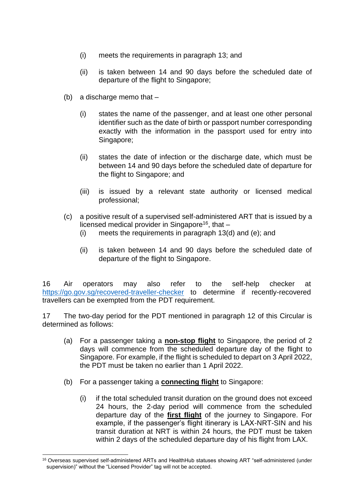- (i) meets the requirements in paragraph 13; and
- (ii) is taken between 14 and 90 days before the scheduled date of departure of the flight to Singapore;
- (b) a discharge memo that  $-$ 
	- (i) states the name of the passenger, and at least one other personal identifier such as the date of birth or passport number corresponding exactly with the information in the passport used for entry into Singapore;
	- (ii) states the date of infection or the discharge date, which must be between 14 and 90 days before the scheduled date of departure for the flight to Singapore; and
	- (iii) is issued by a relevant state authority or licensed medical professional;
- (c) a positive result of a supervised self-administered ART that is issued by a licensed medical provider in Singapore<sup>16</sup>, that  $-$ 
	- (i) meets the requirements in paragraph 13(d) and (e); and
	- (ii) is taken between 14 and 90 days before the scheduled date of departure of the flight to Singapore.

16 Air operators may also refer to the self-help checker at <https://go.gov.sg/recovered-traveller-checker> to determine if recently-recovered travellers can be exempted from the PDT requirement.

17 The two-day period for the PDT mentioned in paragraph 12 of this Circular is determined as follows:

- (a) For a passenger taking a **non-stop flight** to Singapore, the period of 2 days will commence from the scheduled departure day of the flight to Singapore. For example, if the flight is scheduled to depart on 3 April 2022, the PDT must be taken no earlier than 1 April 2022.
- (b) For a passenger taking a **connecting flight** to Singapore:
	- (i) if the total scheduled transit duration on the ground does not exceed 24 hours, the 2-day period will commence from the scheduled departure day of the **first flight** of the journey to Singapore. For example, if the passenger's flight itinerary is LAX-NRT-SIN and his transit duration at NRT is within 24 hours, the PDT must be taken within 2 days of the scheduled departure day of his flight from LAX.

<sup>&</sup>lt;sup>16</sup> Overseas supervised self-administered ARTs and HealthHub statuses showing ART "self-administered (under supervision)" without the "Licensed Provider" tag will not be accepted.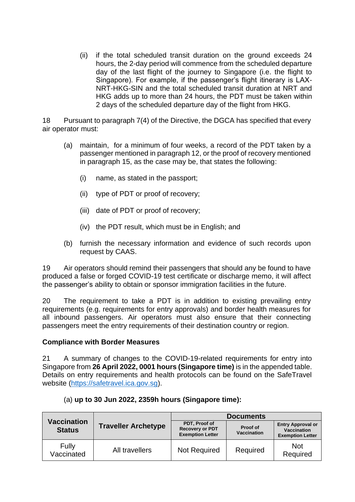(ii) if the total scheduled transit duration on the ground exceeds 24 hours, the 2-day period will commence from the scheduled departure day of the last flight of the journey to Singapore (i.e. the flight to Singapore). For example, if the passenger's flight itinerary is LAX-NRT-HKG-SIN and the total scheduled transit duration at NRT and HKG adds up to more than 24 hours, the PDT must be taken within 2 days of the scheduled departure day of the flight from HKG.

18 Pursuant to paragraph 7(4) of the Directive, the DGCA has specified that every air operator must:

- (a) maintain, for a minimum of four weeks, a record of the PDT taken by a passenger mentioned in paragraph 12, or the proof of recovery mentioned in paragraph 15, as the case may be, that states the following:
	- (i) name, as stated in the passport;
	- (ii) type of PDT or proof of recovery;
	- (iii) date of PDT or proof of recovery;
	- (iv) the PDT result, which must be in English; and
- (b) furnish the necessary information and evidence of such records upon request by CAAS.

19 Air operators should remind their passengers that should any be found to have produced a false or forged COVID-19 test certificate or discharge memo, it will affect the passenger's ability to obtain or sponsor immigration facilities in the future.

20 The requirement to take a PDT is in addition to existing prevailing entry requirements (e.g. requirements for entry approvals) and border health measures for all inbound passengers. Air operators must also ensure that their connecting passengers meet the entry requirements of their destination country or region.

## **Compliance with Border Measures**

21 A summary of changes to the COVID-19-related requirements for entry into Singapore from **26 April 2022, 0001 hours (Singapore time)** is in the appended table. Details on entry requirements and health protocols can be found on the SafeTravel website [\(https://safetravel.ica.gov.sg\)](https://safetravel.ica.gov.sg/).

| <b>Vaccination</b><br><b>Status</b> | <b>Traveller Archetype</b> | <b>Documents</b>                                                   |                                |                                                                           |
|-------------------------------------|----------------------------|--------------------------------------------------------------------|--------------------------------|---------------------------------------------------------------------------|
|                                     |                            | PDT, Proof of<br><b>Recovery or PDT</b><br><b>Exemption Letter</b> | Proof of<br><b>Vaccination</b> | <b>Entry Approval or</b><br><b>Vaccination</b><br><b>Exemption Letter</b> |
| Fully<br>Vaccinated                 | All travellers             | <b>Not Required</b>                                                | Required                       | <b>Not</b><br>Required                                                    |

|  |  |  |  |  | (a) up to 30 Jun 2022, 2359h hours (Singapore time): |  |
|--|--|--|--|--|------------------------------------------------------|--|
|--|--|--|--|--|------------------------------------------------------|--|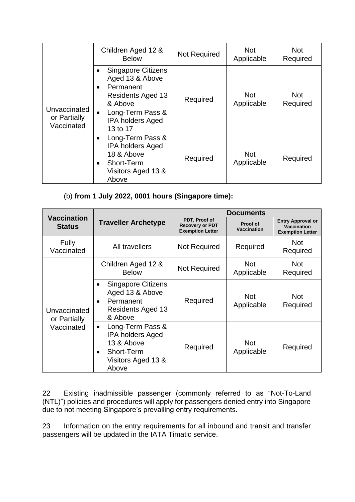| Unvaccinated<br>or Partially<br>Vaccinated | Children Aged 12 &<br><b>Below</b>                                                                                                                                                    | <b>Not Required</b> | <b>Not</b><br>Applicable | <b>Not</b><br>Required |
|--------------------------------------------|---------------------------------------------------------------------------------------------------------------------------------------------------------------------------------------|---------------------|--------------------------|------------------------|
|                                            | <b>Singapore Citizens</b><br>Aged 13 & Above<br>Permanent<br>$\bullet$<br><b>Residents Aged 13</b><br>& Above<br>Long-Term Pass &<br>$\bullet$<br><b>IPA holders Aged</b><br>13 to 17 | Required            | <b>Not</b><br>Applicable | <b>Not</b><br>Required |
|                                            | Long-Term Pass &<br><b>IPA holders Aged</b><br>18 & Above<br>Short-Term<br>Visitors Aged 13 &<br>Above                                                                                | Required            | <b>Not</b><br>Applicable | Required               |

(b) **from 1 July 2022, 0001 hours (Singapore time):**

|                                            | <b>Traveller Archetype</b>                                                                                          | <b>Documents</b>                                                   |                          |                                                                    |
|--------------------------------------------|---------------------------------------------------------------------------------------------------------------------|--------------------------------------------------------------------|--------------------------|--------------------------------------------------------------------|
| <b>Vaccination</b><br><b>Status</b>        |                                                                                                                     | PDT, Proof of<br><b>Recovery or PDT</b><br><b>Exemption Letter</b> | Proof of<br>Vaccination  | <b>Entry Approval or</b><br>Vaccination<br><b>Exemption Letter</b> |
| Fully<br>Vaccinated                        | All travellers                                                                                                      | <b>Not Required</b>                                                | Required                 | <b>Not</b><br>Required                                             |
| Unvaccinated<br>or Partially<br>Vaccinated | Children Aged 12 &<br><b>Below</b>                                                                                  | <b>Not Required</b>                                                | <b>Not</b><br>Applicable | <b>Not</b><br>Required                                             |
|                                            | <b>Singapore Citizens</b><br>Aged 13 & Above<br>Permanent<br>$\bullet$<br><b>Residents Aged 13</b><br>& Above       | Required                                                           | <b>Not</b><br>Applicable | <b>Not</b><br>Required                                             |
|                                            | Long-Term Pass &<br>$\bullet$<br><b>IPA holders Aged</b><br>13 & Above<br>Short-Term<br>Visitors Aged 13 &<br>Above | Required                                                           | <b>Not</b><br>Applicable | Required                                                           |

22 Existing inadmissible passenger (commonly referred to as "Not-To-Land (NTL)") policies and procedures will apply for passengers denied entry into Singapore due to not meeting Singapore's prevailing entry requirements.

23 Information on the entry requirements for all inbound and transit and transfer passengers will be updated in the IATA Timatic service.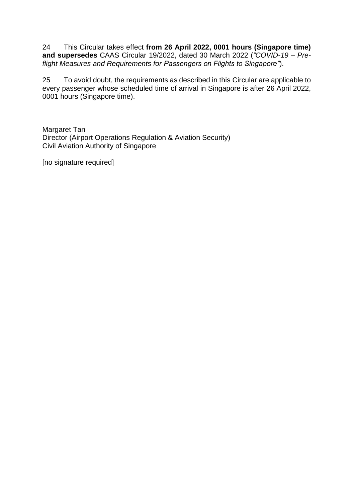24 This Circular takes effect **from 26 April 2022, 0001 hours (Singapore time) and supersedes** CAAS Circular 19/2022, dated 30 March 2022 (*"COVID-19 – Preflight Measures and Requirements for Passengers on Flights to Singapore"*).

25 To avoid doubt, the requirements as described in this Circular are applicable to every passenger whose scheduled time of arrival in Singapore is after 26 April 2022, 0001 hours (Singapore time).

Margaret Tan Director (Airport Operations Regulation & Aviation Security) Civil Aviation Authority of Singapore

[no signature required]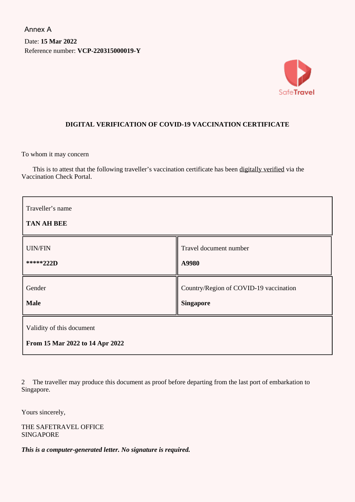Date: **15 Mar 2022** Reference number: **VCP-220315000019-Y** Annex A



## **DIGITAL VERIFICATION OF COVID-19 VACCINATION CERTIFICATE**

To whom it may concern

This is to attest that the following traveller's vaccination certificate has been digitally verified via the Vaccination Check Portal.

| Traveller's name<br><b>TAN AH BEE</b>                        |                                        |  |  |
|--------------------------------------------------------------|----------------------------------------|--|--|
| <b>UIN/FIN</b>                                               | Travel document number                 |  |  |
| *****222D                                                    | A9980                                  |  |  |
| Gender                                                       | Country/Region of COVID-19 vaccination |  |  |
| <b>Male</b>                                                  | <b>Singapore</b>                       |  |  |
| Validity of this document<br>From 15 Mar 2022 to 14 Apr 2022 |                                        |  |  |

2 The traveller may produce this document as proof before departing from the last port of embarkation to Singapore.

Yours sincerely,

THE SAFETRAVEL OFFICE SINGAPORE

*This is a computer-generated letter. No signature is required.*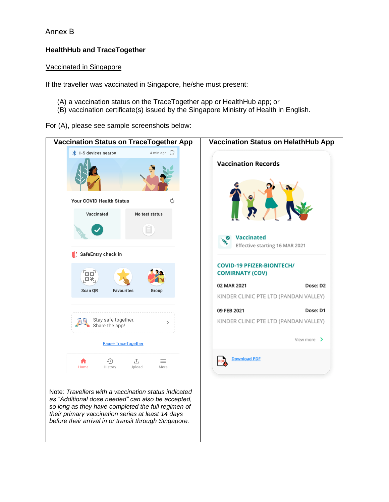## Annex B

## **HealthHub and TraceTogether**

#### Vaccinated in Singapore

If the traveller was vaccinated in Singapore, he/she must present:

- (A) a vaccination status on the TraceTogether app or HealthHub app; or
- (B) vaccination certificate(s) issued by the Singapore Ministry of Health in English.

For (A), please see sample screenshots below:

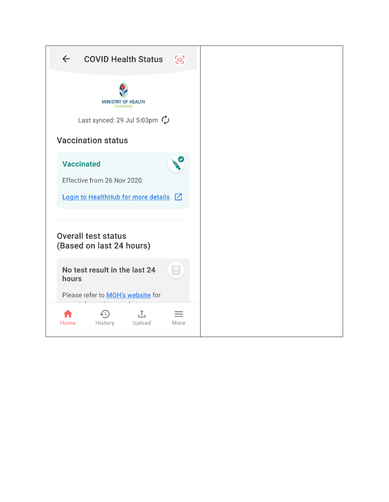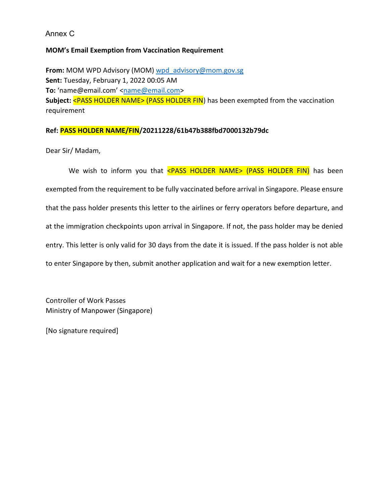Annex C

#### **MOM's Email Exemption from Vaccination Requirement**

**From:** MOM WPD Advisory (MOM) [wpd\\_advisory@mom.gov.sg](mailto:wpd_advisory@mom.gov.sg) **Sent:** Tuesday, February 1, 2022 00:05 AM To: 'name@email.com' <[name@email.com>](mailto:name@email.com) **Subject:** <PASS HOLDER NAME> (PASS HOLDER FIN) has been exempted from the vaccination requirement

#### **Ref: PASS HOLDER NAME/FIN/20211228/61b47b388fbd7000132b79dc**

Dear Sir/ Madam,

We wish to inform you that <PASS HOLDER NAME> (PASS HOLDER FIN) has been exempted from the requirement to be fully vaccinated before arrival in Singapore. Please ensure that the pass holder presents this letter to the airlines or ferry operators before departure, and at the immigration checkpoints upon arrival in Singapore. If not, the pass holder may be denied entry. This letter is only valid for 30 days from the date it is issued. If the pass holder is not able to enter Singapore by then, submit another application and wait for a new exemption letter.

Controller of Work Passes Ministry of Manpower (Singapore)

[No signature required]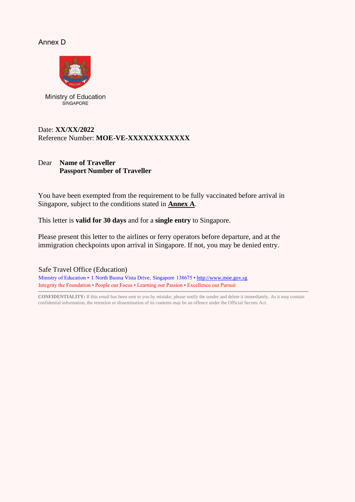#### Annex D



Ministry of Education SINGAPORE

#### Date: **XX/XX/2022** Reference Number: **MOE-VE-XXXXXXXXXXXX**

## Dear **Name of Traveller Passport Number of Traveller**

You have been exempted from the requirement to be fully vaccinated before arrival in Singapore, subject to the conditions stated in **Annex A**.

This letter is **valid for 30 days** and for a **single entry** to Singapore.

Please present this letter to the airlines or ferry operators before departure, and at the immigration checkpoints upon arrival in Singapore. If not, you may be denied entry.

Safe Travel Office (Education) Ministry of Education • 1 North Buona Vista Drive, Singapore 138675 [• http://www.moe.gov.sg](http://www.moe.gov.sg/) Integrity the Foundation • People our Focus • Learning our Passion • Excellence our Pursuit

**CONFIDENTIALITY:** If this email has been sent to you by mistake, please notify the sender and delete it immediately. As it may contain confidential information, the retention or dissemination of its contents may be an offence under the Official Secrets Act.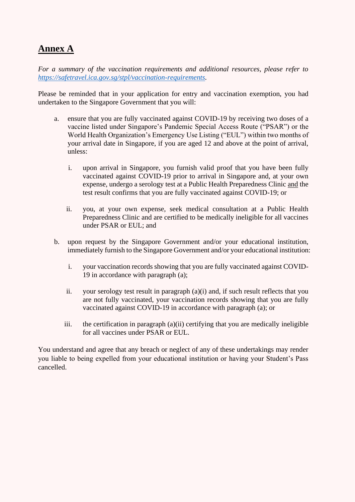# **Annex A**

*For a summary of the vaccination requirements and additional resources, please refer to [https://safetravel.ica.gov.sg/stpl/vaccination-requirements.](https://safetravel.ica.gov.sg/stpl/vaccination-requirements)* 

Please be reminded that in your application for entry and vaccination exemption, you had undertaken to the Singapore Government that you will:

- a. ensure that you are fully vaccinated against COVID-19 by receiving two doses of a vaccine listed under Singapore's Pandemic Special Access Route ("PSAR") or the World Health Organization's Emergency Use Listing ("EUL") within two months of your arrival date in Singapore, if you are aged 12 and above at the point of arrival, unless:
	- i. upon arrival in Singapore, you furnish valid proof that you have been fully vaccinated against COVID-19 prior to arrival in Singapore and, at your own expense, undergo a serology test at a Public Health Preparedness Clinic and the test result confirms that you are fully vaccinated against COVID-19; or
	- ii. you, at your own expense, seek medical consultation at a Public Health Preparedness Clinic and are certified to be medically ineligible for all vaccines under PSAR or EUL; and
- b. upon request by the Singapore Government and/or your educational institution, immediately furnish to the Singapore Government and/or your educational institution:
	- i. your vaccination records showing that you are fully vaccinated against COVID-19 in accordance with paragraph (a);
	- ii. your serology test result in paragraph (a)(i) and, if such result reflects that you are not fully vaccinated, your vaccination records showing that you are fully vaccinated against COVID-19 in accordance with paragraph (a); or
	- iii. the certification in paragraph (a)(ii) certifying that you are medically ineligible for all vaccines under PSAR or EUL.

You understand and agree that any breach or neglect of any of these undertakings may render you liable to being expelled from your educational institution or having your Student's Pass cancelled.